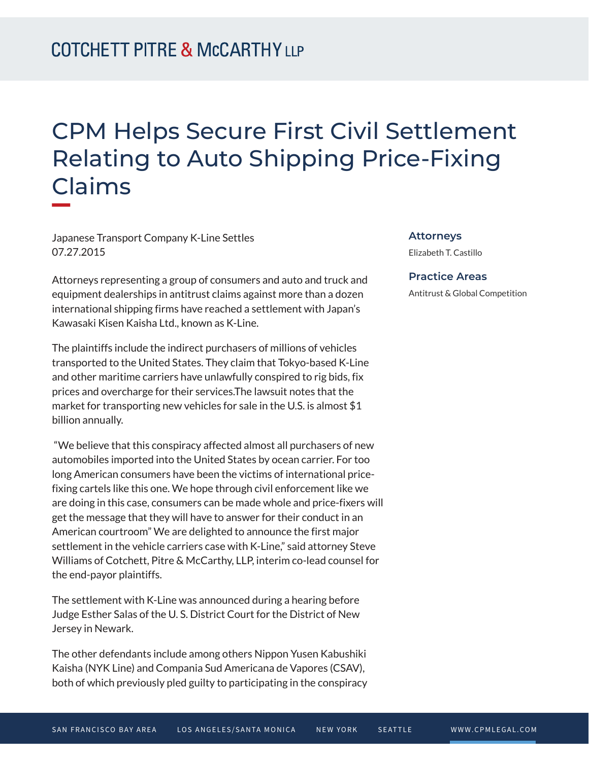## CPM Helps Secure First Civil Settlement Relating to Auto Shipping Price-Fixing Claims

Japanese Transport Company K-Line Settles 07.27.2015

Attorneys representing a group of consumers and auto and truck and equipment dealerships in antitrust claims against more than a dozen international shipping firms have reached a settlement with Japan's Kawasaki Kisen Kaisha Ltd., known as K-Line.

The plaintiffs include the indirect purchasers of millions of vehicles transported to the United States. They claim that Tokyo-based K-Line and other maritime carriers have unlawfully conspired to rig bids, fix prices and overcharge for their services.The lawsuit notes that the market for transporting new vehicles for sale in the U.S. is almost \$1 billion annually.

 "We believe that this conspiracy affected almost all purchasers of new automobiles imported into the United States by ocean carrier. For too long American consumers have been the victims of international pricefixing cartels like this one. We hope through civil enforcement like we are doing in this case, consumers can be made whole and price-fixers will get the message that they will have to answer for their conduct in an American courtroom" We are delighted to announce the first major settlement in the vehicle carriers case with K-Line," said attorney Steve Williams of Cotchett, Pitre & McCarthy, LLP, interim co-lead counsel for the end-payor plaintiffs.

The settlement with K-Line was announced during a hearing before Judge Esther Salas of the U. S. District Court for the District of New Jersey in Newark.

The other defendants include among others Nippon Yusen Kabushiki Kaisha (NYK Line) and Compania Sud Americana de Vapores (CSAV), both of which previously pled guilty to participating in the conspiracy

## **Attorneys**

Elizabeth T. Castillo

## **Practice Areas**

Antitrust & Global Competition